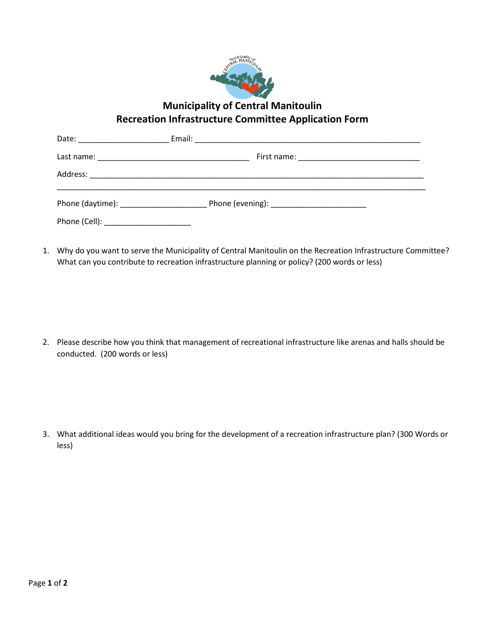

**Municipality of Central Manitoulin Recreation Infrastructure Committee Application Form**

| Phone (Cell): __________________________ |  |  |
|------------------------------------------|--|--|

1. Why do you want to serve the Municipality of Central Manitoulin on the Recreation Infrastructure Committee? What can you contribute to recreation infrastructure planning or policy? (200 words or less)

2. Please describe how you think that management of recreational infrastructure like arenas and halls should be conducted. (200 words or less)

3. What additional ideas would you bring for the development of a recreation infrastructure plan? (300 Words or less)